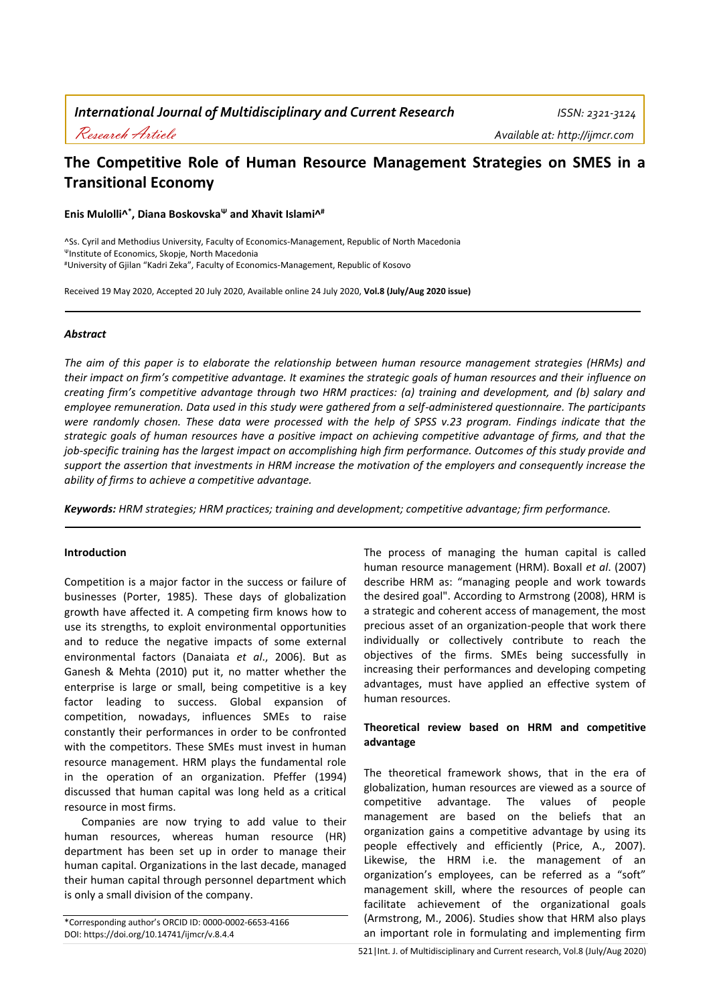# **The Competitive Role of Human Resource Management Strategies on SMES in a Transitional Economy**

**Enis Mulolli^ \* , Diana Boskovska<sup>Ψ</sup> and Xhavit Islami^ #**

^Ss. Cyril and Methodius University, Faculty of Economics-Management, Republic of North Macedonia <sup>Ψ</sup>Institute of Economics, Skopje, North Macedonia #University of Gjilan "Kadri Zeka", Faculty of Economics-Management, Republic of Kosovo

Received 19 May 2020, Accepted 20 July 2020, Available online 24 July 2020, **Vol.8 (July/Aug 2020 issue)**

## *Abstract*

*The aim of this paper is to elaborate the relationship between human resource management strategies (HRMs) and their impact on firm's competitive advantage. It examines the strategic goals of human resources and their influence on creating firm's competitive advantage through two HRM practices: (a) training and development, and (b) salary and employee remuneration. Data used in this study were gathered from a self-administered questionnaire. The participants were randomly chosen. These data were processed with the help of SPSS v.23 program. Findings indicate that the strategic goals of human resources have a positive impact on achieving competitive advantage of firms, and that the job-specific training has the largest impact on accomplishing high firm performance. Outcomes of this study provide and support the assertion that investments in HRM increase the motivation of the employers and consequently increase the ability of firms to achieve a competitive advantage.*

*Keywords: HRM strategies; HRM practices; training and development; competitive advantage; firm performance.*

# **Introduction**

Competition is a major factor in the success or failure of businesses (Porter, 1985). These days of globalization growth have affected it. A competing firm knows how to use its strengths, to exploit environmental opportunities and to reduce the negative impacts of some external environmental factors (Danaiata *et al*., 2006). But as Ganesh & Mehta (2010) put it, no matter whether the enterprise is large or small, being competitive is a key factor leading to success. Global expansion of competition, nowadays, influences SMEs to raise constantly their performances in order to be confronted with the competitors. These SMEs must invest in human resource management. HRM plays the fundamental role in the operation of an organization. Pfeffer (1994) discussed that human capital was long held as a critical resource in most firms.

Companies are now trying to add value to their human resources, whereas human resource (HR) department has been set up in order to manage their human capital. Organizations in the last decade, managed their human capital through personnel department which is only a small division of the company.

\*Corresponding author's ORCID ID: 0000-0002-6653-4166 DOI: https://doi.org/10.14741/ijmcr/v.8.4.4

The process of managing the human capital is called human resource management (HRM). Boxall *et al*. (2007) describe HRM as: "managing people and work towards the desired goal". According to Armstrong (2008), HRM is a strategic and coherent access of management, the most precious asset of an organization-people that work there individually or collectively contribute to reach the objectives of the firms. SMEs being successfully in increasing their performances and developing competing advantages, must have applied an effective system of human resources.

# **Theoretical review based on HRM and competitive advantage**

The theoretical framework shows, that in the era of globalization, human resources are viewed as a source of competitive advantage. The values of people management are based on the beliefs that an organization gains a competitive advantage by using its people effectively and efficiently (Price, A., 2007). Likewise, the HRM i.e. the management of an organization's employees, can be referred as a "soft" management skill, where the resources of people can facilitate achievement of the organizational goals (Armstrong, M., 2006). Studies show that HRM also plays an important role in formulating and implementing firm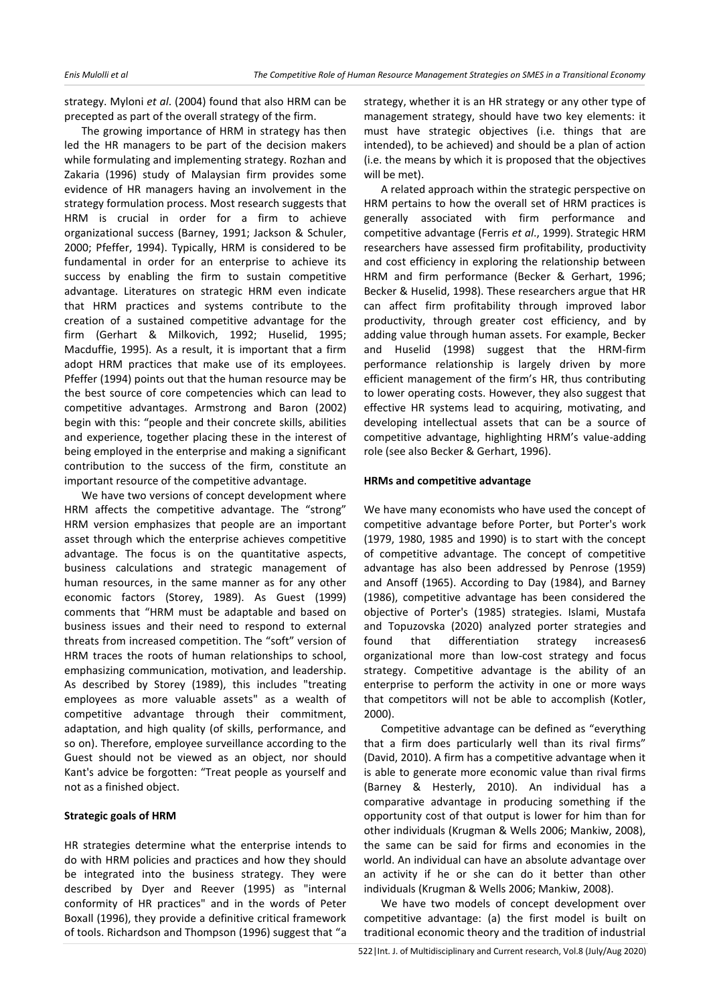strategy. Myloni *et al*. (2004) found that also HRM can be precepted as part of the overall strategy of the firm.

The growing importance of HRM in strategy has then led the HR managers to be part of the decision makers while formulating and implementing strategy. Rozhan and Zakaria (1996) study of Malaysian firm provides some evidence of HR managers having an involvement in the strategy formulation process. Most research suggests that HRM is crucial in order for a firm to achieve organizational success (Barney, 1991; Jackson & Schuler, 2000; Pfeffer, 1994). Typically, HRM is considered to be fundamental in order for an enterprise to achieve its success by enabling the firm to sustain competitive advantage. Literatures on strategic HRM even indicate that HRM practices and systems contribute to the creation of a sustained competitive advantage for the firm (Gerhart & Milkovich, 1992; Huselid, 1995; Macduffie, 1995). As a result, it is important that a firm adopt HRM practices that make use of its employees. Pfeffer (1994) points out that the human resource may be the best source of core competencies which can lead to competitive advantages. Armstrong and Baron (2002) begin with this: "people and their concrete skills, abilities and experience, together placing these in the interest of being employed in the enterprise and making a significant contribution to the success of the firm, constitute an important resource of the competitive advantage.

We have two versions of concept development where HRM affects the competitive advantage. The "strong" HRM version emphasizes that people are an important asset through which the enterprise achieves competitive advantage. The focus is on the quantitative aspects, business calculations and strategic management of human resources, in the same manner as for any other economic factors (Storey, 1989). As Guest (1999) comments that "HRM must be adaptable and based on business issues and their need to respond to external threats from increased competition. The "soft" version of HRM traces the roots of human relationships to school, emphasizing communication, motivation, and leadership. As described by Storey (1989), this includes "treating employees as more valuable assets" as a wealth of competitive advantage through their commitment, adaptation, and high quality (of skills, performance, and so on). Therefore, employee surveillance according to the Guest should not be viewed as an object, nor should Kant's advice be forgotten: "Treat people as yourself and not as a finished object.

# **Strategic goals of HRM**

HR strategies determine what the enterprise intends to do with HRM policies and practices and how they should be integrated into the business strategy. They were described by Dyer and Reever (1995) as "internal conformity of HR practices" and in the words of Peter Boxall (1996), they provide a definitive critical framework of tools. Richardson and Thompson (1996) suggest that "a strategy, whether it is an HR strategy or any other type of management strategy, should have two key elements: it must have strategic objectives (i.e. things that are intended), to be achieved) and should be a plan of action (i.e. the means by which it is proposed that the objectives will be met).

A related approach within the strategic perspective on HRM pertains to how the overall set of HRM practices is generally associated with firm performance and competitive advantage (Ferris *et al*., 1999). Strategic HRM researchers have assessed firm profitability, productivity and cost efficiency in exploring the relationship between HRM and firm performance (Becker & Gerhart, 1996; Becker & Huselid, 1998). These researchers argue that HR can affect firm profitability through improved labor productivity, through greater cost efficiency, and by adding value through human assets. For example, Becker and Huselid (1998) suggest that the HRM-firm performance relationship is largely driven by more efficient management of the firm's HR, thus contributing to lower operating costs. However, they also suggest that effective HR systems lead to acquiring, motivating, and developing intellectual assets that can be a source of competitive advantage, highlighting HRM's value-adding role (see also Becker & Gerhart, 1996).

## **HRMs and competitive advantage**

We have many economists who have used the concept of competitive advantage before Porter, but Porter's work (1979, 1980, 1985 and 1990) is to start with the concept of competitive advantage. The concept of competitive advantage has also been addressed by Penrose (1959) and Ansoff (1965). According to Day (1984), and Barney (1986), competitive advantage has been considered the objective of Porter's (1985) strategies. Islami, Mustafa and Topuzovska (2020) analyzed porter strategies and found that differentiation strategy increases6 organizational more than low-cost strategy and focus strategy. Competitive advantage is the ability of an enterprise to perform the activity in one or more ways that competitors will not be able to accomplish (Kotler, 2000).

Competitive advantage can be defined as "everything that a firm does particularly well than its rival firms" (David, 2010). A firm has a competitive advantage when it is able to generate more economic value than rival firms (Barney & Hesterly, 2010). An individual has a comparative advantage in producing something if the opportunity cost of that output is lower for him than for other individuals (Krugman & Wells 2006; Mankiw, 2008), the same can be said for firms and economies in the world. An individual can have an absolute advantage over an activity if he or she can do it better than other individuals (Krugman & Wells 2006; Mankiw, 2008).

We have two models of concept development over competitive advantage: (a) the first model is built on traditional economic theory and the tradition of industrial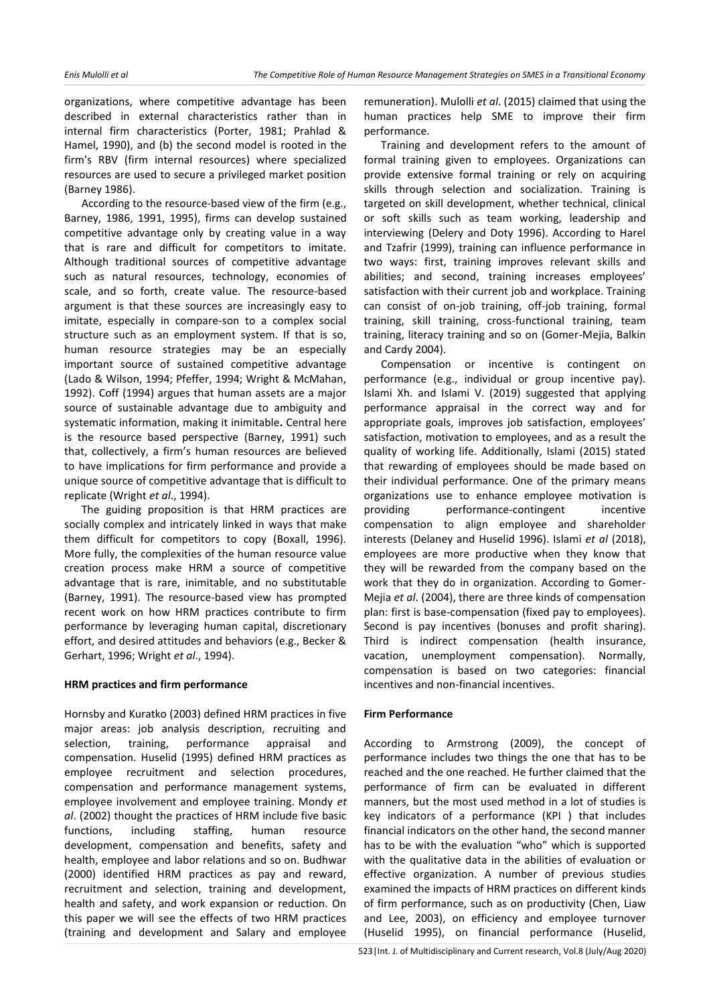organizations, where competitive advantage has been described in external characteristics rather than in internal firm characteristics (Porter, 1981; Prahlad & Hamel, 1990), and (b) the second model is rooted in the firm's RBV (firm internal resources) where specialized resources are used to secure a privileged market position (Barney 1986).

According to the resource-based view of the firm (e.g., Barney, 1986, 1991, 1995), firms can develop sustained competitive advantage only by creating value in a way that is rare and difficult for competitors to imitate. Although traditional sources of competitive advantage such as natural resources, technology, economies of scale, and so forth, create value. The resource-based argument is that these sources are increasingly easy to imitate, especially in compare-son to a complex social structure such as an employment system. If that is so, human resource strategies may be an especially important source of sustained competitive advantage (Lado & Wilson, 1994; Pfeffer, 1994; Wright & McMahan, 1992). Coff (1994) argues that human assets are a major source of sustainable advantage due to ambiguity and systematic information, making it inimitable**.** Central here is the resource based perspective (Barney, 1991) such that, collectively, a firm's human resources are believed to have implications for firm performance and provide a unique source of competitive advantage that is difficult to replicate (Wright *et al*., 1994).

The guiding proposition is that HRM practices are socially complex and intricately linked in ways that make them difficult for competitors to copy (Boxall, 1996). More fully, the complexities of the human resource value creation process make HRM a source of competitive advantage that is rare, inimitable, and no substitutable (Barney, 1991). The resource-based view has prompted recent work on how HRM practices contribute to firm performance by leveraging human capital, discretionary effort, and desired attitudes and behaviors (e.g., Becker & Gerhart, 1996; Wright *et al*., 1994).

## **HRM practices and firm performance**

Hornsby and Kuratko (2003) defined HRM practices in five major areas: job analysis description, recruiting and selection, training, performance appraisal and compensation. Huselid (1995) defined HRM practices as employee recruitment and selection procedures, compensation and performance management systems, employee involvement and employee training. Mondy *et al*. (2002) thought the practices of HRM include five basic functions, including staffing, human resource development, compensation and benefits, safety and health, employee and labor relations and so on. Budhwar (2000) identified HRM practices as pay and reward, recruitment and selection, training and development, health and safety, and work expansion or reduction. On this paper we will see the effects of two HRM practices (training and development and Salary and employee

remuneration). Mulolli *et al*. (2015) claimed that using the human practices help SME to improve their firm performance.

Training and development refers to the amount of formal training given to employees. Organizations can provide extensive formal training or rely on acquiring skills through selection and socialization. Training is targeted on skill development, whether technical, clinical or soft skills such as team working, leadership and interviewing (Delery and Doty 1996). According to Harel and Tzafrir (1999), training can influence performance in two ways: first, training improves relevant skills and abilities; and second, training increases employees' satisfaction with their current job and workplace. Training can consist of on-job training, off-job training, formal training, skill training, cross-functional training, team training, literacy training and so on (Gomer-Mejia, Balkin and Cardy 2004).

Compensation or incentive is contingent on performance (e.g., individual or group incentive pay). Islami Xh. and Islami V. (2019) suggested that applying performance appraisal in the correct way and for appropriate goals, improves job satisfaction, employees' satisfaction, motivation to employees, and as a result the quality of working life. Additionally, Islami (2015) stated that rewarding of employees should be made based on their individual performance. One of the primary means organizations use to enhance employee motivation is providing performance-contingent incentive compensation to align employee and shareholder interests (Delaney and Huselid 1996). Islami *et al* (2018), employees are more productive when they know that they will be rewarded from the company based on the work that they do in organization. According to Gomer-Mejia *et al*. (2004), there are three kinds of compensation plan: first is base-compensation (fixed pay to employees). Second is pay incentives (bonuses and profit sharing). Third is indirect compensation (health insurance, vacation, unemployment compensation). Normally, compensation is based on two categories: financial incentives and non-financial incentives.

## **Firm Performance**

According to Armstrong (2009), the concept of performance includes two things the one that has to be reached and the one reached. He further claimed that the performance of firm can be evaluated in different manners, but the most used method in a lot of studies is key indicators of a performance (KPI ) that includes financial indicators on the other hand, the second manner has to be with the evaluation "who" which is supported with the qualitative data in the abilities of evaluation or effective organization. A number of previous studies examined the impacts of HRM practices on different kinds of firm performance, such as on productivity (Chen, Liaw and Lee, 2003), on efficiency and employee turnover (Huselid 1995), on financial performance (Huselid,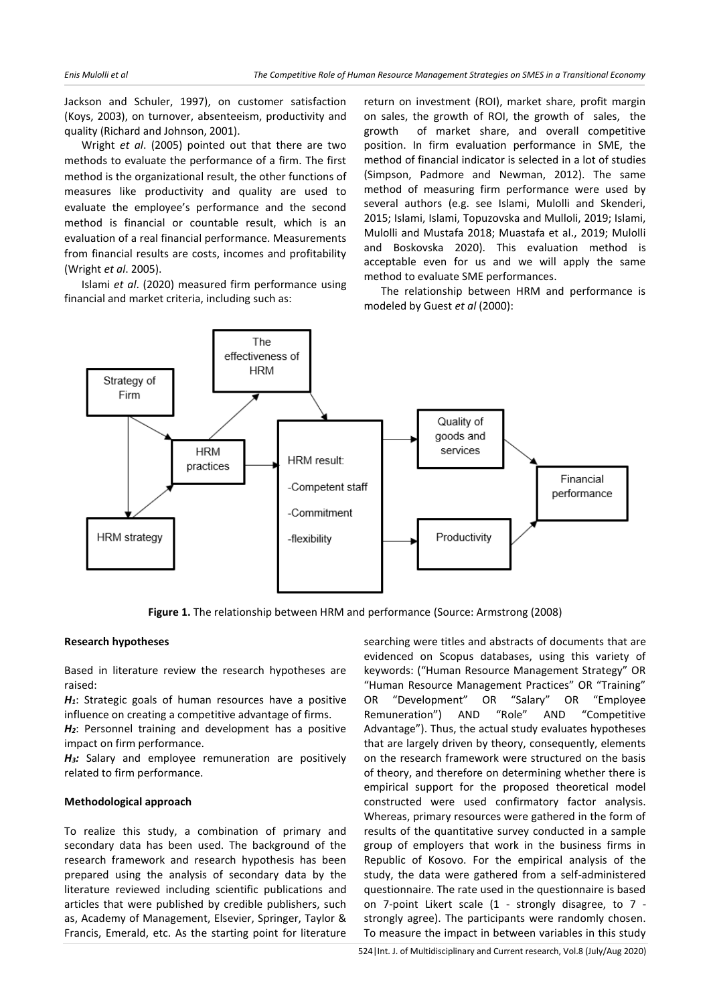Jackson and Schuler, 1997), on customer satisfaction (Koys, 2003), on turnover, absenteeism, productivity and quality (Richard and Johnson, 2001).

Wright *et al*. (2005) pointed out that there are two methods to evaluate the performance of a firm. The first method is the organizational result, the other functions of measures like productivity and quality are used to evaluate the employee's performance and the second method is financial or countable result, which is an evaluation of a real financial performance. Measurements from financial results are costs, incomes and profitability (Wright *et al*. 2005).

Islami *et al*. (2020) measured firm performance using financial and market criteria, including such as:

return on investment (ROI), market share, profit margin on sales, the growth of ROI, the growth of sales, the growth of market share, and overall competitive position. In firm evaluation performance in SME, the method of financial indicator is selected in a lot of studies (Simpson, Padmore and Newman, 2012). The same method of measuring firm performance were used by several authors (e.g. see Islami, Mulolli and Skenderi, 2015; Islami, Islami, Topuzovska and Mulloli, 2019; Islami, Mulolli and Mustafa 2018; Muastafa et al., 2019; Mulolli and Boskovska 2020). This evaluation method is acceptable even for us and we will apply the same method to evaluate SME performances.

The relationship between HRM and performance is modeled by Guest *et al* (2000):



**Figure 1.** The relationship between HRM and performance (Source: Armstrong (2008)

#### **Research hypotheses**

Based in literature review the research hypotheses are raised:

*H1*: Strategic goals of human resources have a positive influence on creating a competitive advantage of firms.

*H2*: Personnel training and development has a positive impact on firm performance.

*H3:* Salary and employee remuneration are positively related to firm performance.

## **Methodological approach**

To realize this study, a combination of primary and secondary data has been used. The background of the research framework and research hypothesis has been prepared using the analysis of secondary data by the literature reviewed including scientific publications and articles that were published by credible publishers, such as, Academy of Management, Elsevier, Springer, Taylor & Francis, Emerald, etc. As the starting point for literature searching were titles and abstracts of documents that are evidenced on Scopus databases, using this variety of keywords: ("Human Resource Management Strategy" OR "Human Resource Management Practices" OR "Training" OR "Development" OR "Salary" OR "Employee Remuneration") AND "Role" AND "Competitive Advantage"). Thus, the actual study evaluates hypotheses that are largely driven by theory, consequently, elements on the research framework were structured on the basis of theory, and therefore on determining whether there is empirical support for the proposed theoretical model constructed were used confirmatory factor analysis. Whereas, primary resources were gathered in the form of results of the quantitative survey conducted in a sample group of employers that work in the business firms in Republic of Kosovo. For the empirical analysis of the study, the data were gathered from a self-administered questionnaire. The rate used in the questionnaire is based on 7-point Likert scale (1 - strongly disagree, to 7 strongly agree). The participants were randomly chosen. To measure the impact in between variables in this study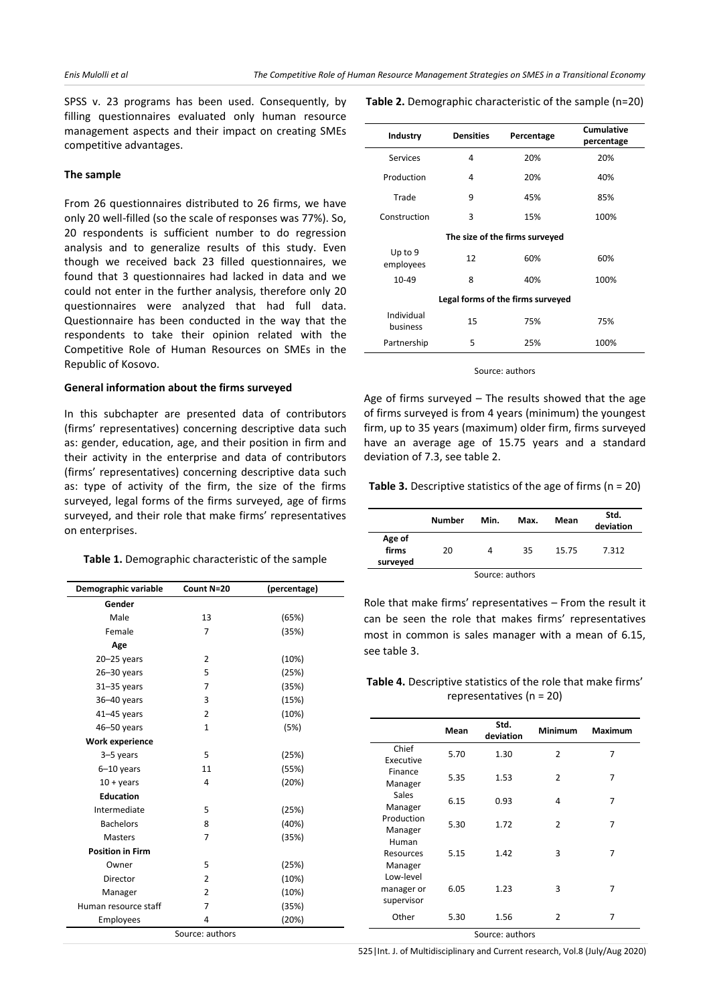SPSS v. 23 programs has been used. Consequently, by filling questionnaires evaluated only human resource management aspects and their impact on creating SMEs competitive advantages.

# **The sample**

From 26 questionnaires distributed to 26 firms, we have only 20 well-filled (so the scale of responses was 77%). So, 20 respondents is sufficient number to do regression analysis and to generalize results of this study. Even though we received back 23 filled questionnaires, we found that 3 questionnaires had lacked in data and we could not enter in the further analysis, therefore only 20 questionnaires were analyzed that had full data. Questionnaire has been conducted in the way that the respondents to take their opinion related with the Competitive Role of Human Resources on SMEs in the Republic of Kosovo.

#### **General information about the firms surveyed**

In this subchapter are presented data of contributors (firms' representatives) concerning descriptive data such as: gender, education, age, and their position in firm and their activity in the enterprise and data of contributors (firms' representatives) concerning descriptive data such as: type of activity of the firm, the size of the firms surveyed, legal forms of the firms surveyed, age of firms surveyed, and their role that make firms' representatives on enterprises.

| Demographic variable    | Count N=20      | (percentage) |
|-------------------------|-----------------|--------------|
| Gender                  |                 |              |
| Male                    | 13              | (65%)        |
| Female                  | $\overline{7}$  | (35%)        |
| Age                     |                 |              |
| $20 - 25$ years         | $\overline{2}$  | (10%)        |
| 26-30 years             | 5               | (25%)        |
| $31 - 35$ years         | $\overline{7}$  | (35%)        |
| 36-40 years             | 3               | (15%)        |
| $41 - 45$ years         | $\overline{2}$  | (10%)        |
| 46-50 years             | $\mathbf{1}$    | (5%)         |
| Work experience         |                 |              |
| 3-5 years               | 5               | (25%)        |
| $6-10$ years            | 11              | (55%)        |
| $10 + \mathrm{years}$   | 4               | (20%)        |
| <b>Education</b>        |                 |              |
| Intermediate            | 5               | (25%)        |
| <b>Bachelors</b>        | 8               | (40%)        |
| <b>Masters</b>          | 7               | (35%)        |
| <b>Position in Firm</b> |                 |              |
| Owner                   | 5               | (25%)        |
| Director                | 2               | (10%)        |
| Manager                 | $\overline{2}$  | (10%)        |
| Human resource staff    | 7               | (35%)        |
| Employees               | 4               | (20%)        |
|                         | Source: authors |              |

**Table 2.** Demographic characteristic of the sample (n=20)

| Industry               | <b>Densities</b>                  | Percentage | Cumulative<br>percentage |  |  |  |  |
|------------------------|-----------------------------------|------------|--------------------------|--|--|--|--|
| Services               | 4                                 | 20%        | 20%                      |  |  |  |  |
| Production             | 4                                 | 20%        | 40%                      |  |  |  |  |
| Trade                  | 9                                 | 45%        | 85%                      |  |  |  |  |
| Construction           | 3                                 | 15%        | 100%                     |  |  |  |  |
|                        | The size of the firms surveyed    |            |                          |  |  |  |  |
| Up to 9<br>employees   | 12                                | 60%        | 60%                      |  |  |  |  |
| $10 - 49$              | 8                                 | 40%        | 100%                     |  |  |  |  |
|                        | Legal forms of the firms surveyed |            |                          |  |  |  |  |
| Individual<br>business | 15                                | 75%        | 75%                      |  |  |  |  |
| Partnership            | 5                                 | 25%        | 100%                     |  |  |  |  |

Source: authors

Age of firms surveyed – The results showed that the age of firms surveyed is from 4 years (minimum) the youngest firm, up to 35 years (maximum) older firm, firms surveyed have an average age of 15.75 years and a standard deviation of 7.3, see table 2.

**Table 3.** Descriptive statistics of the age of firms (n = 20)

|                             | Number | Min. | Max. | Mean  | Std.<br>deviation |  |
|-----------------------------|--------|------|------|-------|-------------------|--|
| Age of<br>firms<br>surveyed | 20     | 4    | 35   | 15.75 | 7.312             |  |
| Source: authors             |        |      |      |       |                   |  |

Role that make firms' representatives – From the result it can be seen the role that makes firms' representatives most in common is sales manager with a mean of 6.15, see table 3.

| <b>Table 4.</b> Descriptive statistics of the role that make firms' |
|---------------------------------------------------------------------|
| representatives ( $n = 20$ )                                        |

|                                       | Mean | Std.<br>deviation | <b>Minimum</b> | <b>Maximum</b> |
|---------------------------------------|------|-------------------|----------------|----------------|
| Chief<br>Executive                    | 5.70 | 1.30              | 2              | 7              |
| Finance<br>Manager                    | 5.35 | 1.53              | $\overline{2}$ | 7              |
| Sales<br>Manager                      | 6.15 | 0.93              | 4              | 7              |
| Production<br>Manager                 | 5.30 | 1.72              | $\overline{2}$ | 7              |
| Human<br>Resources<br>Manager         | 5.15 | 1.42              | 3              | 7              |
| Low-level<br>manager or<br>supervisor | 6.05 | 1.23              | 3              | 7              |
| Other                                 | 5.30 | 1.56              | $\overline{2}$ | 7              |

Source: authors

525|Int. J. of Multidisciplinary and Current research, Vol.8 (July/Aug 2020)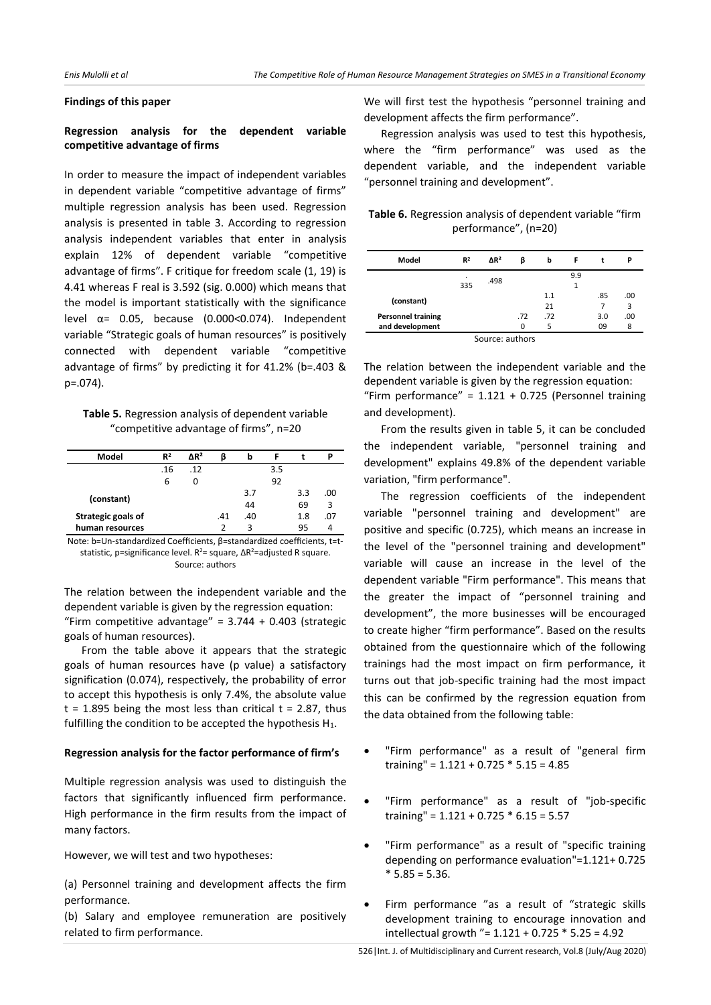## **Findings of this paper**

## **Regression analysis for the dependent variable competitive advantage of firms**

In order to measure the impact of independent variables in dependent variable "competitive advantage of firms" multiple regression analysis has been used. Regression analysis is presented in table 3. According to regression analysis independent variables that enter in analysis explain 12% of dependent variable "competitive advantage of firms". F critique for freedom scale (1, 19) is 4.41 whereas F real is 3.592 (sig. 0.000) which means that the model is important statistically with the significance level  $\alpha$ = 0.05, because (0.000<0.074). Independent variable "Strategic goals of human resources" is positively connected with dependent variable "competitive advantage of firms" by predicting it for 41.2% (b=.403 & p=.074).

**Table 5.** Regression analysis of dependent variable "competitive advantage of firms", n=20

| Model              | $R^2$ | $\Delta$ R <sup>2</sup> |     | b   |     |     |     |
|--------------------|-------|-------------------------|-----|-----|-----|-----|-----|
|                    | .16   | .12                     |     |     | 3.5 |     |     |
|                    | 6     | 0                       |     |     | 92  |     |     |
|                    |       |                         |     | 3.7 |     | 3.3 | .00 |
| (constant)         |       |                         |     | 44  |     | 69  | 3   |
| Strategic goals of |       |                         | .41 | .40 |     | 1.8 | .07 |
| human resources    |       |                         | າ   | ς   |     | 95  |     |
|                    |       |                         |     |     |     |     |     |

Note: b=Un-standardized Coefficients, β=standardized coefficients, t=tstatistic, p=significance level. R<sup>2</sup>= square, ΔR<sup>2</sup>=adjusted R square. Source: authors

The relation between the independent variable and the dependent variable is given by the regression equation: "Firm competitive advantage" =  $3.744 + 0.403$  (strategic goals of human resources).

From the table above it appears that the strategic goals of human resources have (p value) a satisfactory signification (0.074), respectively, the probability of error to accept this hypothesis is only 7.4%, the absolute value  $t = 1.895$  being the most less than critical  $t = 2.87$ , thus fulfilling the condition to be accepted the hypothesis H<sub>1</sub>.

#### **Regression analysis for the factor performance of firm's**

Multiple regression analysis was used to distinguish the factors that significantly influenced firm performance. High performance in the firm results from the impact of many factors.

However, we will test and two hypotheses:

(a) Personnel training and development affects the firm performance.

(b) Salary and employee remuneration are positively related to firm performance.

We will first test the hypothesis "personnel training and development affects the firm performance".

Regression analysis was used to test this hypothesis, where the "firm performance" was used as the dependent variable, and the independent variable "personnel training and development".

**Table 6.** Regression analysis of dependent variable "firm performance", (n=20)

| Model                     | $R^2$    | $\Delta$ R <sup>2</sup> | ß   | b   | F   | t   | Ρ   |
|---------------------------|----------|-------------------------|-----|-----|-----|-----|-----|
|                           | ٠<br>335 | .498                    |     |     | 9.9 |     |     |
| (constant)                |          |                         |     | 1.1 |     | .85 | .00 |
|                           |          |                         |     | 21  |     |     | 3   |
| <b>Personnel training</b> |          |                         | .72 | .72 |     | 3.0 | .00 |
| and development           |          |                         | 0   | 5   |     | 09  | 8   |
| $C_{\text{out}}$          |          |                         |     |     |     |     |     |

Source: authors

The relation between the independent variable and the dependent variable is given by the regression equation: "Firm performance" =  $1.121 + 0.725$  (Personnel training and development).

From the results given in table 5, it can be concluded the independent variable, "personnel training and development" explains 49.8% of the dependent variable variation, "firm performance".

The regression coefficients of the independent variable "personnel training and development" are positive and specific (0.725), which means an increase in the level of the "personnel training and development" variable will cause an increase in the level of the dependent variable "Firm performance". This means that the greater the impact of "personnel training and development", the more businesses will be encouraged to create higher "firm performance". Based on the results obtained from the questionnaire which of the following trainings had the most impact on firm performance, it turns out that job-specific training had the most impact this can be confirmed by the regression equation from the data obtained from the following table:

- "Firm performance" as a result of "general firm training" = 1.121 + 0.725 \* 5.15 = 4.85
- "Firm performance" as a result of "job-specific training" = 1.121 + 0.725 \* 6.15 = 5.57
- "Firm performance" as a result of "specific training depending on performance evaluation"=1.121+ 0.725  $* 5.85 = 5.36.$
- Firm performance "as a result of "strategic skills development training to encourage innovation and intellectual growth "= 1.121 + 0.725 \* 5.25 = 4.92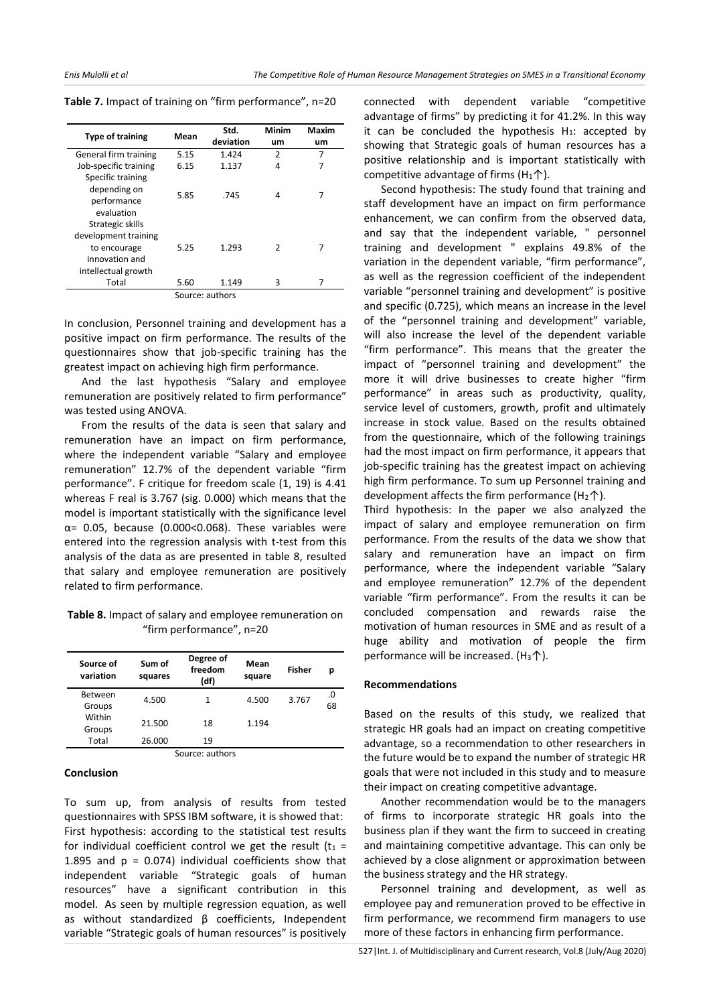| <b>Type of training</b>                                                                           | Mean | Std.<br>deviation   | Minim<br>um   | Maxim<br>um |
|---------------------------------------------------------------------------------------------------|------|---------------------|---------------|-------------|
| General firm training                                                                             | 5.15 | 1.424               | $\mathfrak z$ | 7           |
| Job-specific training                                                                             | 6.15 | 1.137               | 4             | 7           |
| Specific training<br>depending on<br>performance<br>evaluation                                    | 5.85 | .745                | 4             | 7           |
| Strategic skills<br>development training<br>to encourage<br>innovation and<br>intellectual growth | 5.25 | 1.293               | 2             | 7           |
| Total                                                                                             | 5.60 | 1.149               | 3             |             |
|                                                                                                   |      | $COM$ required note |               |             |

Source: authors

In conclusion, Personnel training and development has a positive impact on firm performance. The results of the questionnaires show that job-specific training has the greatest impact on achieving high firm performance.

And the last hypothesis "Salary and employee remuneration are positively related to firm performance" was tested using ANOVA.

From the results of the data is seen that salary and remuneration have an impact on firm performance, where the independent variable "Salary and employee remuneration" 12.7% of the dependent variable "firm performance". F critique for freedom scale (1, 19) is 4.41 whereas F real is 3.767 (sig. 0.000) which means that the model is important statistically with the significance level  $\alpha$ = 0.05, because (0.000<0.068). These variables were entered into the regression analysis with t-test from this analysis of the data as are presented in table 8, resulted that salary and employee remuneration are positively related to firm performance.

**Table 8.** Impact of salary and employee remuneration on "firm performance", n=20

| Source of<br>variation | Sum of<br>squares | Degree of<br>freedom<br>(df) | Mean<br>square | <b>Fisher</b> | р        |
|------------------------|-------------------|------------------------------|----------------|---------------|----------|
| Between<br>Groups      | 4.500             | 1                            | 4.500          | 3.767         | .0<br>68 |
| Within<br>Groups       | 21.500            | 18                           | 1.194          |               |          |
| Total                  | 26.000            | 19                           |                |               |          |
|                        |                   | Source: authors              |                |               |          |

Source: authors

#### **Conclusion**

To sum up, from analysis of results from tested questionnaires with SPSS IBM software, it is showed that: First hypothesis: according to the statistical test results for individual coefficient control we get the result  $(t_1 =$ 1.895 and  $p = 0.074$ ) individual coefficients show that independent variable "Strategic goals of human resources" have a significant contribution in this model. As seen by multiple regression equation, as well as without standardized β coefficients, Independent variable "Strategic goals of human resources" is positively connected with dependent variable "competitive advantage of firms" by predicting it for 41.2%. In this way it can be concluded the hypothesis  $H_1$ : accepted by showing that Strategic goals of human resources has a positive relationship and is important statistically with competitive advantage of firms (H<sub>1</sub> $\uparrow$ ).

Second hypothesis: The study found that training and staff development have an impact on firm performance enhancement, we can confirm from the observed data, and say that the independent variable, " personnel training and development " explains 49.8% of the variation in the dependent variable, "firm performance", as well as the regression coefficient of the independent variable "personnel training and development" is positive and specific (0.725), which means an increase in the level of the "personnel training and development" variable, will also increase the level of the dependent variable "firm performance". This means that the greater the impact of "personnel training and development" the more it will drive businesses to create higher "firm performance" in areas such as productivity, quality, service level of customers, growth, profit and ultimately increase in stock value. Based on the results obtained from the questionnaire, which of the following trainings had the most impact on firm performance, it appears that job-specific training has the greatest impact on achieving high firm performance. To sum up Personnel training and development affects the firm performance  $(H_2 \uparrow)$ .

Third hypothesis: In the paper we also analyzed the impact of salary and employee remuneration on firm performance. From the results of the data we show that salary and remuneration have an impact on firm performance, where the independent variable "Salary and employee remuneration" 12.7% of the dependent variable "firm performance". From the results it can be concluded compensation and rewards raise the motivation of human resources in SME and as result of a huge ability and motivation of people the firm performance will be increased. (H<sub>3</sub> $\uparrow$ ).

#### **Recommendations**

Based on the results of this study, we realized that strategic HR goals had an impact on creating competitive advantage, so a recommendation to other researchers in the future would be to expand the number of strategic HR goals that were not included in this study and to measure their impact on creating competitive advantage.

Another recommendation would be to the managers of firms to incorporate strategic HR goals into the business plan if they want the firm to succeed in creating and maintaining competitive advantage. This can only be achieved by a close alignment or approximation between the business strategy and the HR strategy.

Personnel training and development, as well as employee pay and remuneration proved to be effective in firm performance, we recommend firm managers to use more of these factors in enhancing firm performance.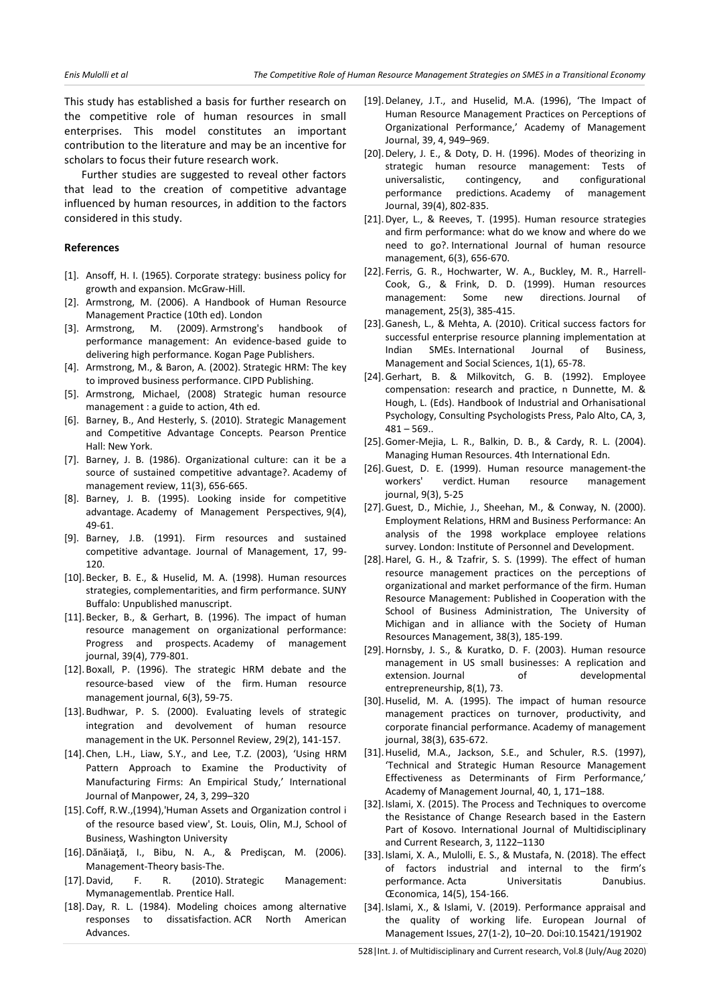This study has established a basis for further research on the competitive role of human resources in small enterprises. This model constitutes an important contribution to the literature and may be an incentive for scholars to focus their future research work.

Further studies are suggested to reveal other factors that lead to the creation of competitive advantage influenced by human resources, in addition to the factors considered in this study.

## **References**

- [1]. Ansoff, H. I. (1965). Corporate strategy: business policy for growth and expansion. McGraw-Hill.
- [2]. Armstrong, M. (2006). A Handbook of Human Resource Management Practice (10th ed). London
- [3]. Armstrong, M. (2009). Armstrong's handbook of performance management: An evidence-based guide to delivering high performance. Kogan Page Publishers.
- [4]. Armstrong, M., & Baron, A. (2002). Strategic HRM: The key to improved business performance. CIPD Publishing.
- [5]. Armstrong, Michael, (2008) Strategic human resource management : a guide to action, 4th ed.
- [6]. Barney, B., And Hesterly, S. (2010). Strategic Management and Competitive Advantage Concepts. Pearson Prentice Hall: New York.
- [7]. Barney, J. B. (1986). Organizational culture: can it be a source of sustained competitive advantage?. Academy of management review, 11(3), 656-665.
- [8]. Barney, J. B. (1995). Looking inside for competitive advantage. Academy of Management Perspectives, 9(4), 49-61.
- [9]. Barney, J.B. (1991). Firm resources and sustained competitive advantage. Journal of Management, 17, 99- 120.
- [10].Becker, B. E., & Huselid, M. A. (1998). Human resources strategies, complementarities, and firm performance. SUNY Buffalo: Unpublished manuscript.
- [11].Becker, B., & Gerhart, B. (1996). The impact of human resource management on organizational performance: Progress and prospects. Academy of management journal, 39(4), 779-801.
- [12].Boxall, P. (1996). The strategic HRM debate and the resource‐based view of the firm. Human resource management journal, 6(3), 59-75.
- [13].Budhwar, P. S. (2000). Evaluating levels of strategic integration and devolvement of human resource management in the UK. Personnel Review, 29(2), 141-157.
- [14].Chen, L.H., Liaw, S.Y., and Lee, T.Z. (2003), 'Using HRM Pattern Approach to Examine the Productivity of Manufacturing Firms: An Empirical Study,' International Journal of Manpower, 24, 3, 299–320
- [15].Coff, R.W.,(1994),'Human Assets and Organization control i of the resource based view', St. Louis, Olin, M.J, School of Business, Washington University
- [16].Dănăiaţă, I., Bibu, N. A., & Predişcan, M. (2006). Management-Theory basis-The.
- [17].David, F. R. (2010). Strategic Management: Mymanagementlab. Prentice Hall.
- [18].Day, R. L. (1984). Modeling choices among alternative responses to dissatisfaction. ACR North American Advances.
- [19].Delaney, J.T., and Huselid, M.A. (1996), 'The Impact of Human Resource Management Practices on Perceptions of Organizational Performance,' Academy of Management Journal, 39, 4, 949–969.
- [20].Delery, J. E., & Doty, D. H. (1996). Modes of theorizing in strategic human resource management: Tests of universalistic, contingency, and configurational performance predictions. Academy of management Journal, 39(4), 802-835.
- [21].Dyer, L., & Reeves, T. (1995). Human resource strategies and firm performance: what do we know and where do we need to go?. International Journal of human resource management, 6(3), 656-670.
- [22]. Ferris, G. R., Hochwarter, W. A., Buckley, M. R., Harrell-Cook, G., & Frink, D. D. (1999). Human resources management: Some new directions. Journal of management, 25(3), 385-415.
- [23].Ganesh, L., & Mehta, A. (2010). Critical success factors for successful enterprise resource planning implementation at Indian SMEs. International Journal of Business, Management and Social Sciences, 1(1), 65-78.
- [24].Gerhart, B. & Milkovitch, G. B. (1992). Employee compensation: research and practice, n Dunnette, M. & Hough, L. (Eds). Handbook of Industrial and Orhanisational Psychology, Consulting Psychologists Press, Palo Alto, CA, 3,  $481 - 569.$
- [25].Gomer-Mejia, L. R., Balkin, D. B., & Cardy, R. L. (2004). Managing Human Resources. 4th International Edn.
- [26]. Guest, D. E. (1999). Human resource management-the workers' verdict. Human resource management journal, 9(3), 5-25
- [27].Guest, D., Michie, J., Sheehan, M., & Conway, N. (2000). Employment Relations, HRM and Business Performance: An analysis of the 1998 workplace employee relations survey. London: Institute of Personnel and Development.
- [28].Harel, G. H., & Tzafrir, S. S. (1999). The effect of human resource management practices on the perceptions of organizational and market performance of the firm. Human Resource Management: Published in Cooperation with the School of Business Administration, The University of Michigan and in alliance with the Society of Human Resources Management, 38(3), 185-199.
- [29].Hornsby, J. S., & Kuratko, D. F. (2003). Human resource management in US small businesses: A replication and extension. Journal of developmental entrepreneurship, 8(1), 73.
- [30].Huselid, M. A. (1995). The impact of human resource management practices on turnover, productivity, and corporate financial performance. Academy of management journal, 38(3), 635-672.
- [31].Huselid, M.A., Jackson, S.E., and Schuler, R.S. (1997), 'Technical and Strategic Human Resource Management Effectiveness as Determinants of Firm Performance,' Academy of Management Journal, 40, 1, 171–188.
- [32].Islami, X. (2015). The Process and Techniques to overcome the Resistance of Change Research based in the Eastern Part of Kosovo. International Journal of Multidisciplinary and Current Research, 3, 1122–1130
- [33].Islami, X. A., Mulolli, E. S., & Mustafa, N. (2018). The effect of factors industrial and internal to the firm's performance. Acta Universitatis Danubius. Œconomica, 14(5), 154-166.
- [34].Islami, X., & Islami, V. (2019). Performance appraisal and the quality of working life. European Journal of Management Issues, 27(1-2), 10–20. Doi:10.15421/191902

528|Int. J. of Multidisciplinary and Current research, Vol.8 (July/Aug 2020)